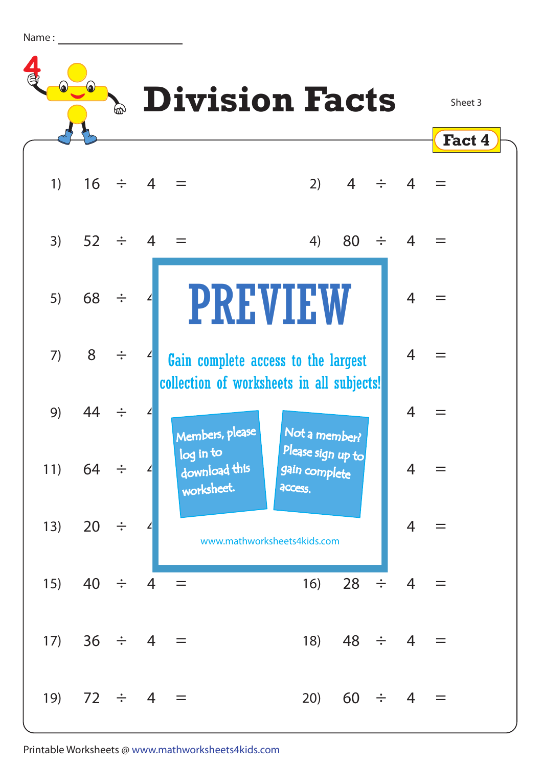